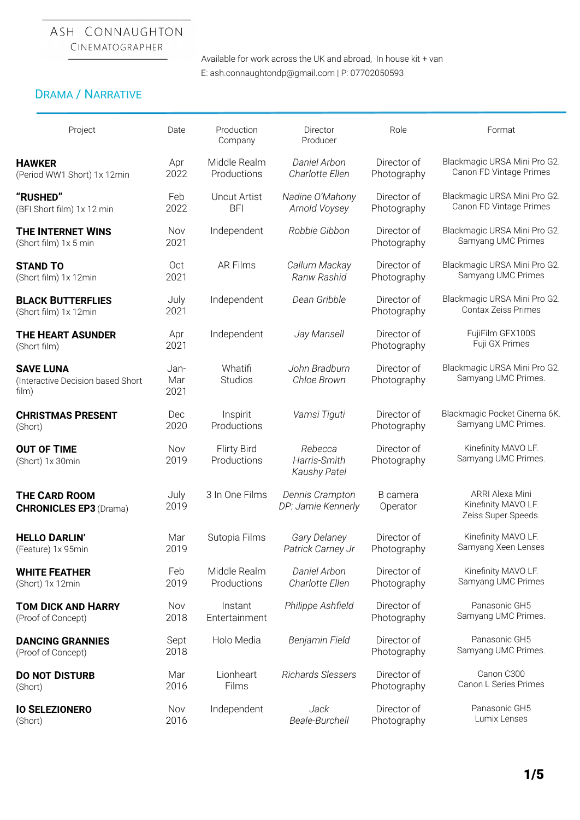# ASH CONNAUGHTON

CINEMATOGRAPHER

Available for work across the UK and abroad, In house kit + van E: ash.connaughtondp@gmail.com | P: 07702050593

# DRAMA / NARRATIVE

| Project                                                        | Date                | Production<br>Company             | Director<br>Producer                           | Role                       | Format                                                        |
|----------------------------------------------------------------|---------------------|-----------------------------------|------------------------------------------------|----------------------------|---------------------------------------------------------------|
| <b>HAWKER</b>                                                  | Apr                 | Middle Realm                      | Daniel Arbon                                   | Director of                | Blackmagic URSA Mini Pro G2.                                  |
| (Period WW1 Short) 1x 12min                                    | 2022                | Productions                       | Charlotte Ellen                                | Photography                | Canon FD Vintage Primes                                       |
| "RUSHED"                                                       | Feb                 | <b>Uncut Artist</b>               | Nadine O'Mahony                                | Director of                | Blackmagic URSA Mini Pro G2.                                  |
| (BFI Short film) 1x 12 min                                     | 2022                | <b>BFI</b>                        | Arnold Voysey                                  | Photography                | Canon FD Vintage Primes                                       |
| <b>THE INTERNET WINS</b><br>(Short film) 1x 5 min              | Nov<br>2021         | Independent                       | Robbie Gibbon                                  | Director of<br>Photography | Blackmagic URSA Mini Pro G2.<br>Samyang UMC Primes            |
| <b>STAND TO</b>                                                | Oct                 | <b>AR Films</b>                   | Callum Mackay                                  | Director of                | Blackmagic URSA Mini Pro G2.                                  |
| (Short film) 1x 12min                                          | 2021                |                                   | Ranw Rashid                                    | Photography                | Samyang UMC Primes                                            |
| <b>BLACK BUTTERFLIES</b><br>(Short film) 1x 12min              | July<br>2021        | Independent                       | Dean Gribble                                   | Director of<br>Photography | Blackmagic URSA Mini Pro G2.<br>Contax Zeiss Primes           |
| <b>THE HEART ASUNDER</b><br>(Short film)                       | Apr<br>2021         | Independent                       | Jay Mansell                                    | Director of<br>Photography | FujiFilm GFX100S<br>Fuji GX Primes                            |
| <b>SAVE LUNA</b><br>(Interactive Decision based Short<br>film) | Jan-<br>Mar<br>2021 | Whatifi<br><b>Studios</b>         | John Bradburn<br>Chloe Brown                   | Director of<br>Photography | Blackmagic URSA Mini Pro G2.<br>Samyang UMC Primes.           |
| <b>CHRISTMAS PRESENT</b>                                       | Dec                 | Inspirit                          | Vamsi Tiguti                                   | Director of                | Blackmagic Pocket Cinema 6K.                                  |
| (Short)                                                        | 2020                | Productions                       |                                                | Photography                | Samyang UMC Primes.                                           |
| <b>OUT OF TIME</b><br>(Short) 1x 30min                         | Nov<br>2019         | <b>Flirty Bird</b><br>Productions | Rebecca<br>Harris-Smith<br><b>Kaushy Patel</b> | Director of<br>Photography | Kinefinity MAVO LF.<br>Samyang UMC Primes.                    |
| <b>THE CARD ROOM</b><br><b>CHRONICLES EP3 (Drama)</b>          | July<br>2019        | 3 In One Films                    | Dennis Crampton<br>DP: Jamie Kennerly          | B camera<br>Operator       | ARRI Alexa Mini<br>Kinefinity MAVO LF.<br>Zeiss Super Speeds. |
| <b>HELLO DARLIN'</b>                                           | Mar                 | Sutopia Films                     | Gary Delaney                                   | Director of                | Kinefinity MAVO LF.                                           |
| (Feature) 1x 95min                                             | 2019                |                                   | Patrick Carney Jr                              | Photography                | Samyang Xeen Lenses                                           |
| <b>WHITE FEATHER</b>                                           | Feb                 | Middle Realm                      | Daniel Arbon                                   | Director of                | Kinefinity MAVO LF.                                           |
| (Short) 1x 12min                                               | 2019                | Productions                       | Charlotte Ellen                                | Photography                | Samyang UMC Primes                                            |
| <b>TOM DICK AND HARRY</b>                                      | Nov                 | Instant                           | Philippe Ashfield                              | Director of                | Panasonic GH5                                                 |
| (Proof of Concept)                                             | 2018                | Entertainment                     |                                                | Photography                | Samyang UMC Primes.                                           |
| <b>DANCING GRANNIES</b><br>(Proof of Concept)                  | Sept<br>2018        | Holo Media                        | Benjamin Field                                 | Director of<br>Photography | Panasonic GH5<br>Samyang UMC Primes.                          |
| <b>DO NOT DISTURB</b>                                          | Mar                 | Lionheart                         | Richards Slessers                              | Director of                | Canon C300                                                    |
| (Short)                                                        | 2016                | Films                             |                                                | Photography                | Canon L Series Primes                                         |
| <b>IO SELEZIONERO</b>                                          | Nov                 | Independent                       | Jack                                           | Director of                | Panasonic GH5                                                 |
| (Short)                                                        | 2016                |                                   | Beale-Burchell                                 | Photography                | Lumix Lenses                                                  |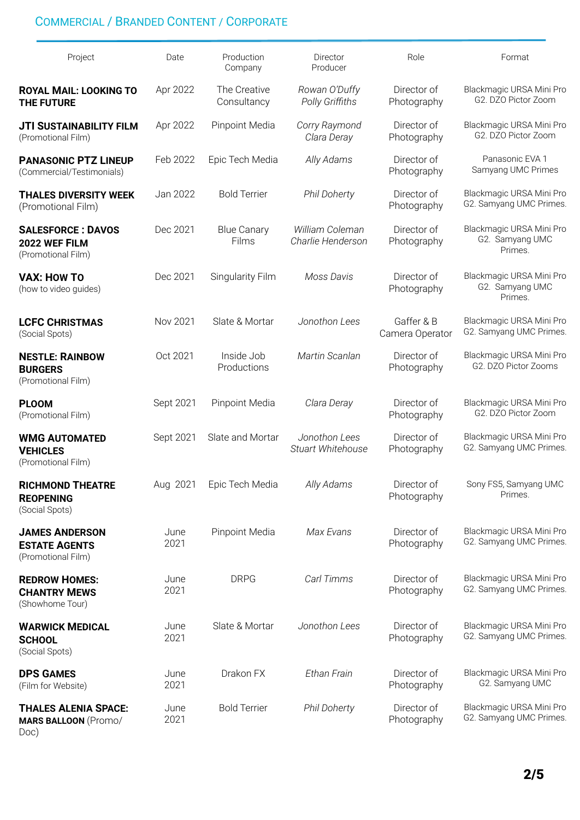# COMMERCIAL / BRANDED CONTENT / CORPORATE

| Project                                                             | Date         | Production<br>Company       | Director<br>Producer                 | Role                          | Format                                                 |
|---------------------------------------------------------------------|--------------|-----------------------------|--------------------------------------|-------------------------------|--------------------------------------------------------|
| <b>ROYAL MAIL: LOOKING TO</b><br><b>THE FUTURE</b>                  | Apr 2022     | The Creative<br>Consultancy | Rowan O'Duffy<br>Polly Griffiths     | Director of<br>Photography    | Blackmagic URSA Mini Pro<br>G2. DZO Pictor Zoom        |
| <b>JTI SUSTAINABILITY FILM</b><br>(Promotional Film)                | Apr 2022     | Pinpoint Media              | Corry Raymond<br>Clara Deray         | Director of<br>Photography    | Blackmagic URSA Mini Pro<br>G2. DZO Pictor Zoom        |
| <b>PANASONIC PTZ LINEUP</b><br>(Commercial/Testimonials)            | Feb 2022     | Epic Tech Media             | Ally Adams                           | Director of<br>Photography    | Panasonic EVA 1<br>Samyang UMC Primes                  |
| <b>THALES DIVERSITY WEEK</b><br>(Promotional Film)                  | Jan 2022     | <b>Bold Terrier</b>         | <b>Phil Doherty</b>                  | Director of<br>Photography    | Blackmagic URSA Mini Pro<br>G2. Samyang UMC Primes.    |
| <b>SALESFORCE: DAVOS</b><br>2022 WEF FILM<br>(Promotional Film)     | Dec 2021     | <b>Blue Canary</b><br>Films | William Coleman<br>Charlie Henderson | Director of<br>Photography    | Blackmagic URSA Mini Pro<br>G2. Samyang UMC<br>Primes. |
| <b>VAX: HOW TO</b><br>(how to video quides)                         | Dec 2021     | <b>Singularity Film</b>     | Moss Davis                           | Director of<br>Photography    | Blackmagic URSA Mini Pro<br>G2. Samyang UMC<br>Primes. |
| <b>LCFC CHRISTMAS</b><br>(Social Spots)                             | Nov 2021     | Slate & Mortar              | Jonothon Lees                        | Gaffer & B<br>Camera Operator | Blackmagic URSA Mini Pro<br>G2. Samyang UMC Primes.    |
| <b>NESTLE: RAINBOW</b><br><b>BURGERS</b><br>(Promotional Film)      | Oct 2021     | Inside Job<br>Productions   | Martin Scanlan                       | Director of<br>Photography    | Blackmagic URSA Mini Pro<br>G2. DZO Pictor Zooms       |
| <b>PLOOM</b><br>(Promotional Film)                                  | Sept 2021    | Pinpoint Media              | Clara Deray                          | Director of<br>Photography    | Blackmagic URSA Mini Pro<br>G2. DZO Pictor Zoom        |
| <b>WMG AUTOMATED</b><br><b>VEHICLES</b><br>(Promotional Film)       | Sept 2021    | Slate and Mortar            | Jonothon Lees<br>Stuart Whitehouse   | Director of<br>Photography    | Blackmagic URSA Mini Pro<br>G2. Samyang UMC Primes.    |
| <b>RICHMOND THEATRE</b><br><b>REOPENING</b><br>(Social Spots)       | Aug 2021     | Epic Tech Media             | Ally Adams                           | Director of<br>Photography    | Sony FS5, Samyang UMC<br>Primes.                       |
| <b>JAMES ANDERSON</b><br><b>ESTATE AGENTS</b><br>(Promotional Film) | June<br>2021 | Pinpoint Media              | Max Evans                            | Director of<br>Photography    | Blackmagic URSA Mini Pro<br>G2. Samyang UMC Primes.    |
| <b>REDROW HOMES:</b><br><b>CHANTRY MEWS</b><br>(Showhome Tour)      | June<br>2021 | <b>DRPG</b>                 | Carl Timms                           | Director of<br>Photography    | Blackmagic URSA Mini Pro<br>G2. Samyang UMC Primes.    |
| <b>WARWICK MEDICAL</b><br><b>SCHOOL</b><br>(Social Spots)           | June<br>2021 | Slate & Mortar              | Jonothon Lees                        | Director of<br>Photography    | Blackmagic URSA Mini Pro<br>G2. Samyang UMC Primes.    |
| <b>DPS GAMES</b><br>(Film for Website)                              | June<br>2021 | Drakon FX                   | Ethan Frain                          | Director of<br>Photography    | Blackmagic URSA Mini Pro<br>G2. Samyang UMC            |
| <b>THALES ALENIA SPACE:</b><br><b>MARS BALLOON (Promo/</b><br>Doc)  | June<br>2021 | <b>Bold Terrier</b>         | <b>Phil Doherty</b>                  | Director of<br>Photography    | Blackmagic URSA Mini Pro<br>G2. Samyang UMC Primes.    |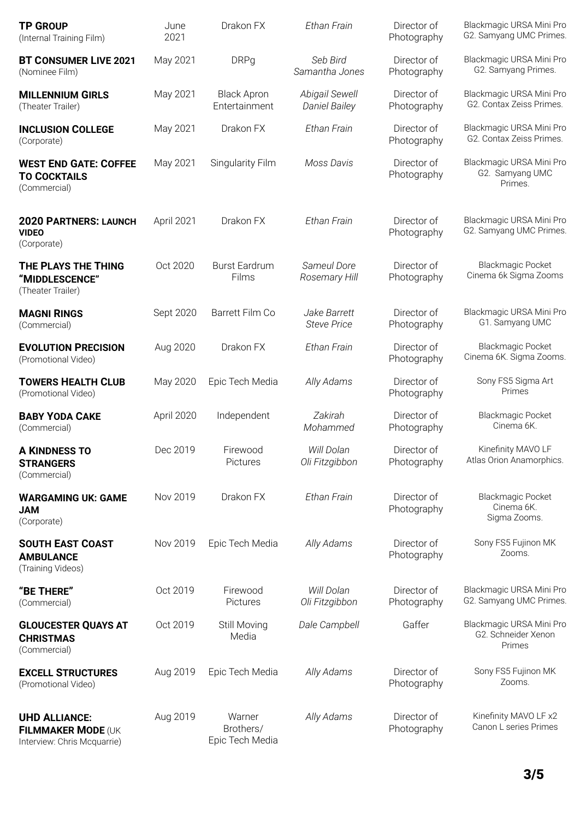| <b>TP GROUP</b><br>(Internal Training Film)                               | June<br>2021 | Drakon FX                              | Ethan Frain                            | Director of<br>Photography | Blackmagic URSA Mini Pro<br>G2. Samyang UMC Primes.       |
|---------------------------------------------------------------------------|--------------|----------------------------------------|----------------------------------------|----------------------------|-----------------------------------------------------------|
| <b>BT CONSUMER LIVE 2021</b><br>(Nominee Film)                            | May 2021     | <b>DRPg</b>                            | Seb Bird<br>Samantha Jones             | Director of<br>Photography | Blackmagic URSA Mini Pro<br>G2. Samyang Primes.           |
| <b>MILLENNIUM GIRLS</b><br>(Theater Trailer)                              | May 2021     | <b>Black Apron</b><br>Entertainment    | Abigail Sewell<br><b>Daniel Bailey</b> | Director of<br>Photography | Blackmagic URSA Mini Pro<br>G2. Contax Zeiss Primes.      |
| <b>INCLUSION COLLEGE</b><br>(Corporate)                                   | May 2021     | Drakon FX                              | Ethan Frain                            | Director of<br>Photography | Blackmagic URSA Mini Pro<br>G2. Contax Zeiss Primes.      |
| <b>WEST END GATE: COFFEE</b><br><b>TO COCKTAILS</b><br>(Commercial)       | May 2021     | <b>Singularity Film</b>                | Moss Davis                             | Director of<br>Photography | Blackmagic URSA Mini Pro<br>G2. Samyang UMC<br>Primes.    |
| <b>2020 PARTNERS: LAUNCH</b><br><b>VIDEO</b><br>(Corporate)               | April 2021   | Drakon FX                              | Ethan Frain                            | Director of<br>Photography | Blackmagic URSA Mini Pro<br>G2. Samyang UMC Primes.       |
| THE PLAYS THE THING<br>"MIDDLESCENCE"<br>(Theater Trailer)                | Oct 2020     | <b>Burst Eardrum</b><br>Films          | Sameul Dore<br>Rosemary Hill           | Director of<br>Photography | <b>Blackmagic Pocket</b><br>Cinema 6k Sigma Zooms         |
| <b>MAGNI RINGS</b><br>(Commercial)                                        | Sept 2020    | Barrett Film Co                        | Jake Barrett<br><b>Steve Price</b>     | Director of<br>Photography | Blackmagic URSA Mini Pro<br>G1. Samyang UMC               |
| <b>EVOLUTION PRECISION</b><br>(Promotional Video)                         | Aug 2020     | Drakon FX                              | Ethan Frain                            | Director of<br>Photography | <b>Blackmagic Pocket</b><br>Cinema 6K. Sigma Zooms.       |
| <b>TOWERS HEALTH CLUB</b><br>(Promotional Video)                          | May 2020     | Epic Tech Media                        | Ally Adams                             | Director of<br>Photography | Sony FS5 Sigma Art<br>Primes                              |
| <b>BABY YODA CAKE</b><br>(Commercial)                                     | April 2020   | Independent                            | Zakirah<br>Mohammed                    | Director of<br>Photography | <b>Blackmagic Pocket</b><br>Cinema 6K.                    |
| <b>A KINDNESS TO</b><br><b>STRANGERS</b><br>(Commercial)                  | Dec 2019     | Firewood<br>Pictures                   | Will Dolan<br>Oli Fitzgibbon           | Director of<br>Photography | Kinefinity MAVO LF<br>Atlas Orion Anamorphics.            |
| <b>WARGAMING UK: GAME</b><br><b>JAM</b><br>(Corporate)                    | Nov 2019     | Drakon FX                              | Ethan Frain                            | Director of<br>Photography | <b>Blackmagic Pocket</b><br>Cinema 6K.<br>Sigma Zooms.    |
| <b>SOUTH EAST COAST</b><br><b>AMBULANCE</b><br>(Training Videos)          | Nov 2019     | Epic Tech Media                        | Ally Adams                             | Director of<br>Photography | Sony FS5 Fujinon MK<br>Zooms.                             |
| "BE THERE"<br>(Commercial)                                                | Oct 2019     | Firewood<br>Pictures                   | Will Dolan<br>Oli Fitzgibbon           | Director of<br>Photography | Blackmagic URSA Mini Pro<br>G2. Samyang UMC Primes.       |
| <b>GLOUCESTER QUAYS AT</b><br><b>CHRISTMAS</b><br>(Commercial)            | Oct 2019     | Still Moving<br>Media                  | Dale Campbell                          | Gaffer                     | Blackmagic URSA Mini Pro<br>G2. Schneider Xenon<br>Primes |
| <b>EXCELL STRUCTURES</b><br>(Promotional Video)                           | Aug 2019     | Epic Tech Media                        | Ally Adams                             | Director of<br>Photography | Sony FS5 Fujinon MK<br>Zooms.                             |
| <b>UHD ALLIANCE:</b><br>FILMMAKER MODE (UK<br>Interview: Chris Mcquarrie) | Aug 2019     | Warner<br>Brothers/<br>Epic Tech Media | Ally Adams                             | Director of<br>Photography | Kinefinity MAVO LF x2<br>Canon L series Primes            |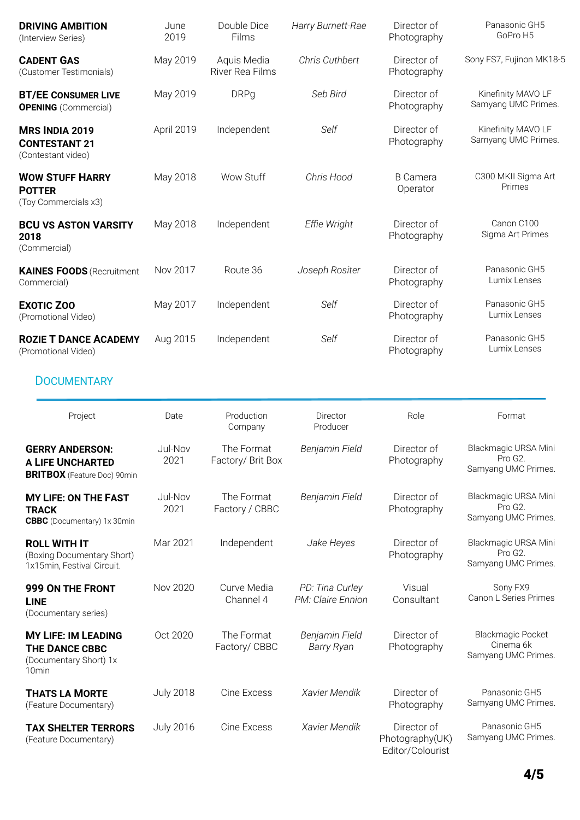| <b>DRIVING AMBITION</b><br>(Interview Series)                                                      | June<br>2019     | Double Dice<br>Films            | Harry Burnett-Rae                    | Director of<br>Photography                         | Panasonic GH5<br>GoPro H5                                    |
|----------------------------------------------------------------------------------------------------|------------------|---------------------------------|--------------------------------------|----------------------------------------------------|--------------------------------------------------------------|
| <b>CADENT GAS</b><br>(Customer Testimonials)                                                       | May 2019         | Aquis Media<br>River Rea Films  | Chris Cuthbert                       | Director of<br>Photography                         | Sony FS7, Fujinon MK18-5                                     |
| <b>BT/EE CONSUMER LIVE</b><br><b>OPENING</b> (Commercial)                                          | May 2019         | <b>DRPg</b>                     | Seb Bird                             | Director of<br>Photography                         | Kinefinity MAVO LF<br>Samyang UMC Primes.                    |
| <b>MRS INDIA 2019</b><br><b>CONTESTANT 21</b><br>(Contestant video)                                | April 2019       | Independent                     | Self                                 | Director of<br>Photography                         | Kinefinity MAVO LF<br>Samyang UMC Primes.                    |
| <b>WOW STUFF HARRY</b><br><b>POTTER</b><br>(Toy Commercials x3)                                    | May 2018         | Wow Stuff                       | Chris Hood                           | <b>B</b> Camera<br>Operator                        | C300 MKII Sigma Art<br>Primes                                |
| <b>BCU VS ASTON VARSITY</b><br>2018<br>(Commercial)                                                | May 2018         | Independent                     | Effie Wright                         | Director of<br>Photography                         | Canon C100<br>Sigma Art Primes                               |
| <b>KAINES FOODS (Recruitment</b><br>Commercial)                                                    | Nov 2017         | Route 36                        | Joseph Rositer                       | Director of<br>Photography                         | Panasonic GH5<br>Lumix Lenses                                |
| <b>EXOTIC ZOO</b><br>(Promotional Video)                                                           | May 2017         | Independent                     | Self                                 | Director of<br>Photography                         | Panasonic GH5<br>Lumix Lenses                                |
| <b>ROZIE T DANCE ACADEMY</b><br>(Promotional Video)                                                | Aug 2015         | Independent                     | Self                                 | Director of<br>Photography                         | Panasonic GH5<br>Lumix Lenses                                |
| <b>DOCUMENTARY</b>                                                                                 |                  |                                 |                                      |                                                    |                                                              |
| Project                                                                                            | Date             | Production<br>Company           | Director<br>Producer                 | Role                                               | Format                                                       |
| <b>GERRY ANDERSON:</b><br><b>A LIFE UNCHARTED</b><br><b>BRITBOX</b> (Feature Doc) 90min            | Jul-Nov<br>2021  | The Format<br>Factory/ Brit Box | Benjamin Field                       | Director of<br>Photography                         | Blackmagic URSA Mini<br>Pro G2.<br>Samyang UMC Primes.       |
| <b>MY LIFE: ON THE FAST</b><br><b>TRACK</b><br><b>CBBC</b> (Documentary) 1x 30min                  | Jul-Nov<br>2021  | The Format<br>Factory / CBBC    | Benjamin Field                       | Director of<br>Photography                         | Blackmagic URSA Mini<br>Pro G2.<br>Samyang UMC Primes.       |
| <b>ROLL WITH IT</b><br>(Boxing Documentary Short)<br>1x15min, Festival Circuit.                    | Mar 2021         | Independent                     | Jake Heyes                           | Director of<br>Photography                         | Blackmagic URSA Mini<br>Pro G2.<br>Samyang UMC Primes.       |
| 999 ON THE FRONT<br><b>LINE</b><br>(Documentary series)                                            | Nov 2020         | Curve Media<br>Channel 4        | PD: Tina Curley<br>PM: Claire Ennion | Visual<br>Consultant                               | Sony FX9<br>Canon L Series Primes                            |
| <b>MY LIFE: IM LEADING</b><br><b>THE DANCE CBBC</b><br>(Documentary Short) 1x<br>10 <sub>min</sub> | Oct 2020         | The Format<br>Factory/ CBBC     | Benjamin Field<br><b>Barry Ryan</b>  | Director of<br>Photography                         | <b>Blackmagic Pocket</b><br>Cinema 6k<br>Samyang UMC Primes. |
| <b>THATS LA MORTE</b><br>(Feature Documentary)                                                     | <b>July 2018</b> | Cine Excess                     | Xavier Mendik                        | Director of<br>Photography                         | Panasonic GH5<br>Samyang UMC Primes.                         |
| <b>TAX SHELTER TERRORS</b><br>(Feature Documentary)                                                | <b>July 2016</b> | Cine Excess                     | Xavier Mendik                        | Director of<br>Photography(UK)<br>Editor/Colourist | Panasonic GH5<br>Samyang UMC Primes.                         |